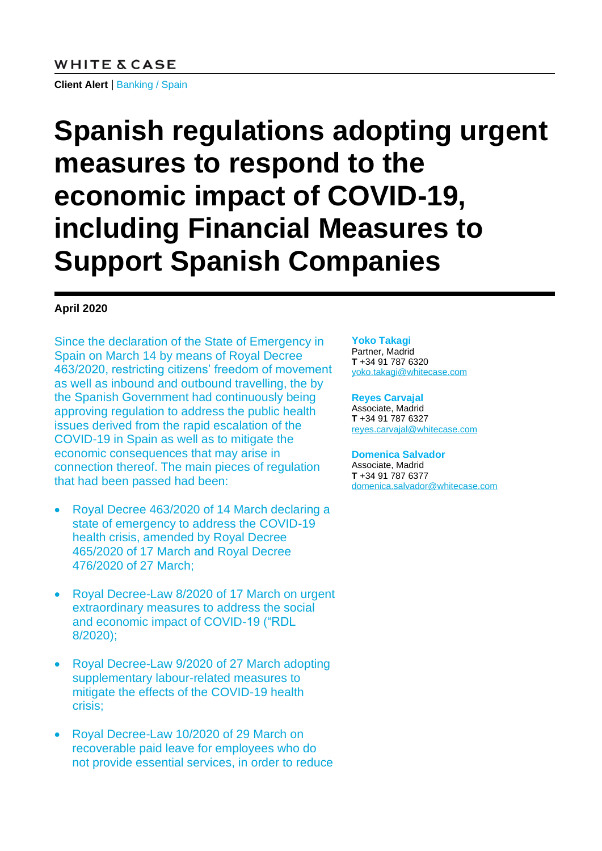#### **WHITE & CASE**

**Client Alert** | Banking / Spain

# **Spanish regulations adopting urgent measures to respond to the economic impact of COVID-19, including Financial Measures to Support Spanish Companies**

#### **April 2020**

Since the declaration of the State of Emergency in Spain on March 14 by means of Royal Decree 463/2020, restricting citizens' freedom of movement as well as inbound and outbound travelling, the by the Spanish Government had continuously being approving regulation to address the public health issues derived from the rapid escalation of the COVID-19 in Spain as well as to mitigate the economic consequences that may arise in connection thereof. The main pieces of regulation that had been passed had been:

- Royal Decree 463/2020 of 14 March declaring a state of emergency to address the COVID-19 health crisis, amended by Royal Decree 465/2020 of 17 March and Royal Decree 476/2020 of 27 March;
- Royal Decree-Law 8/2020 of 17 March on urgent extraordinary measures to address the social and economic impact of COVID-19 ("RDL 8/2020);
- Royal Decree-Law 9/2020 of 27 March adopting supplementary labour-related measures to mitigate the effects of the COVID-19 health crisis;
- Royal Decree-Law 10/2020 of 29 March on recoverable paid leave for employees who do not provide essential services, in order to reduce

#### **Yoko Takagi**

Partner, Madrid **T** +34 91 787 6320 [yoko.takagi@whitecase.com](mailto:yoko.takagi@whitecase.com)

#### **Reyes Carvajal**

Associate, Madrid **T** +34 91 787 6327 [reyes.carvajal@whitecase.com](mailto:reyes.carvajal@whitecase.com)

#### **Domenica Salvador**

Associate, Madrid **T** +34 91 787 6377 [domenica.salvador@whitecase.com](mailto:domenica.salvador@whitecase.com)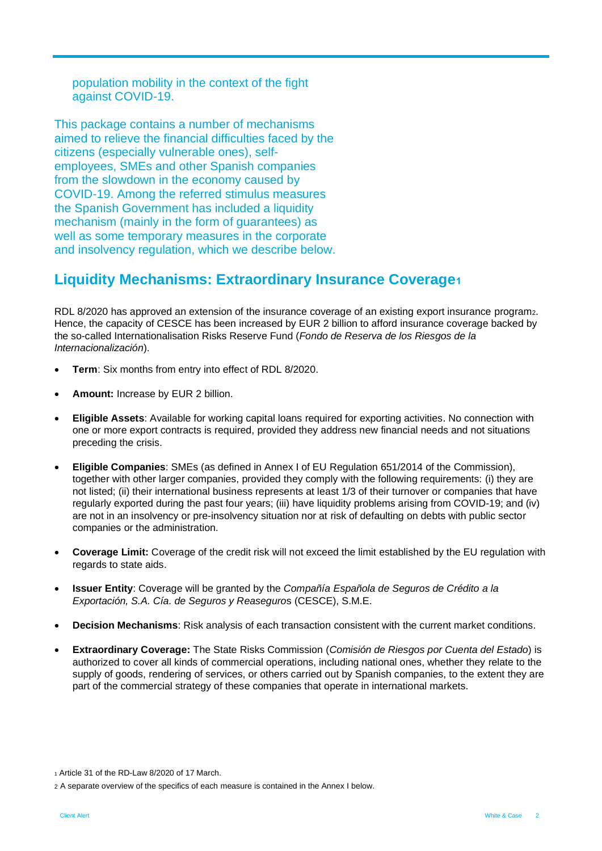population mobility in the context of the fight against COVID-19.

This package contains a number of mechanisms aimed to relieve the financial difficulties faced by the citizens (especially vulnerable ones), selfemployees, SMEs and other Spanish companies from the slowdown in the economy caused by COVID-19. Among the referred stimulus measures the Spanish Government has included a liquidity mechanism (mainly in the form of guarantees) as well as some temporary measures in the corporate and insolvency regulation, which we describe below.

## **Liquidity Mechanisms: Extraordinary Insurance Coverage<sup>1</sup>**

RDL 8/2020 has approved an extension of the insurance coverage of an existing export insurance program2. Hence, the capacity of CESCE has been increased by EUR 2 billion to afford insurance coverage backed by the so-called Internationalisation Risks Reserve Fund (*Fondo de Reserva de los Riesgos de la Internacionalización*).

- **Term**: Six months from entry into effect of RDL 8/2020.
- **Amount:** Increase by EUR 2 billion.
- **Eligible Assets**: Available for working capital loans required for exporting activities. No connection with one or more export contracts is required, provided they address new financial needs and not situations preceding the crisis.
- **Eligible Companies**: SMEs (as defined in Annex I of EU Regulation 651/2014 of the Commission), together with other larger companies, provided they comply with the following requirements: (i) they are not listed; (ii) their international business represents at least 1/3 of their turnover or companies that have regularly exported during the past four years; (iii) have liquidity problems arising from COVID-19; and (iv) are not in an insolvency or pre-insolvency situation nor at risk of defaulting on debts with public sector companies or the administration.
- **Coverage Limit:** Coverage of the credit risk will not exceed the limit established by the EU regulation with regards to state aids.
- **Issuer Entity**: Coverage will be granted by the *Compañía Española de Seguros de Crédito a la Exportación, S.A. Cía. de Seguros y Reaseguro*s (CESCE), S.M.E.
- **Decision Mechanisms**: Risk analysis of each transaction consistent with the current market conditions.
- **Extraordinary Coverage:** The State Risks Commission (*Comisión de Riesgos por Cuenta del Estado*) is authorized to cover all kinds of commercial operations, including national ones, whether they relate to the supply of goods, rendering of services, or others carried out by Spanish companies, to the extent they are part of the commercial strategy of these companies that operate in international markets.

<sup>1</sup> Article 31 of the RD-Law 8/2020 of 17 March.

<sup>2</sup> A separate overview of the specifics of each measure is contained in the Annex I below.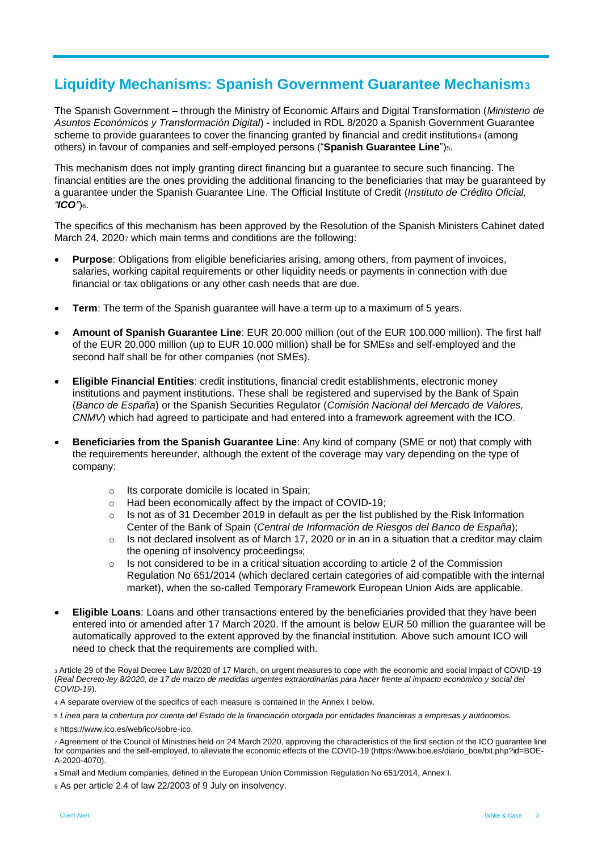## **Liquidity Mechanisms: Spanish Government Guarantee Mechanism<sup>3</sup>**

The Spanish Government – through the Ministry of Economic Affairs and Digital Transformation (*Ministerio de Asuntos Económicos y Transformación Digital*) - included in RDL 8/2020 a Spanish Government Guarantee scheme to provide guarantees to cover the financing granted by financial and credit institutions4 (among others) in favour of companies and self-employed persons ("**Spanish Guarantee Line**")5.

This mechanism does not imply granting direct financing but a guarantee to secure such financing. The financial entities are the ones providing the additional financing to the beneficiaries that may be guaranteed by a guarantee under the Spanish Guarantee Line. The Official Institute of Credit (*Instituto de Crédito Oficial, "ICO"*)6.

The specifics of this mechanism has been approved by the Resolution of the Spanish Ministers Cabinet dated March 24, 20207 which main terms and conditions are the following:

- **Purpose**: Obligations from eligible beneficiaries arising, among others, from payment of invoices, salaries, working capital requirements or other liquidity needs or payments in connection with due financial or tax obligations or any other cash needs that are due.
- **Term**: The term of the Spanish guarantee will have a term up to a maximum of 5 years.
- **Amount of Spanish Guarantee Line**: EUR 20.000 million (out of the EUR 100.000 million). The first half of the EUR 20.000 million (up to EUR 10.000 million) shall be for SMEs<sup>8</sup> and self-employed and the second half shall be for other companies (not SMEs).
- **Eligible Financial Entities**: credit institutions, financial credit establishments, electronic money institutions and payment institutions. These shall be registered and supervised by the Bank of Spain (*Banco de España*) or the Spanish Securities Regulator (*Comisión Nacional del Mercado de Valores, CNMV*) which had agreed to participate and had entered into a framework agreement with the ICO.
- **Beneficiaries from the Spanish Guarantee Line**: Any kind of company (SME or not) that comply with the requirements hereunder, although the extent of the coverage may vary depending on the type of company:
	- o Its corporate domicile is located in Spain;
	- o Had been economically affect by the impact of COVID-19;
	- $\circ$  Is not as of 31 December 2019 in default as per the list published by the Risk Information Center of the Bank of Spain (*Central de Información de Riesgos del Banco de España*);
	- $\circ$  Is not declared insolvent as of March 17, 2020 or in an in a situation that a creditor may claim the opening of insolvency proceedings9;
	- $\circ$  Is not considered to be in a critical situation according to article 2 of the Commission Regulation No 651/2014 (which declared certain categories of aid compatible with the internal market), when the so-called Temporary Framework European Union Aids are applicable.
- **Eligible Loans**: Loans and other transactions entered by the beneficiaries provided that they have been entered into or amended after 17 March 2020. If the amount is below EUR 50 million the guarantee will be automatically approved to the extent approved by the financial institution. Above such amount ICO will need to check that the requirements are complied with.

<sup>3</sup> Article 29 of the Royal Decree Law 8/2020 of 17 March, on urgent measures to cope with the economic and social impact of COVID-19 (*Real Decreto-ley 8/2020, de 17 de marzo de medidas urgentes extraordinarias para hacer frente al impacto económico y social del COVID-19*).

4 A separate overview of the specifics of each measure is contained in the Annex I below.

5 *Línea para la cobertura por cuenta del Estado de la financiación otorgada por entidades financieras a empresas y autónomos.*

6 https://www.ico.es/web/ico/sobre-ico.

<sup>7</sup> Agreement of the Council of Ministries held on 24 March 2020, approving the characteristics of the first section of the ICO guarantee line for companies and the self-employed, to alleviate the economic effects of the COVID-19 [\(https://www.boe.es/diario\\_boe/txt.php?id=BOE-](https://www.boe.es/diario_boe/txt.php?id=BOE-A-2020-4070)[A-2020-4070\)](https://www.boe.es/diario_boe/txt.php?id=BOE-A-2020-4070).

<sup>8</sup> Small and Medium companies, defined in the European Union Commission Regulation No 651/2014, Annex I.

<sup>9</sup> As per article 2.4 of law 22/2003 of 9 July on insolvency.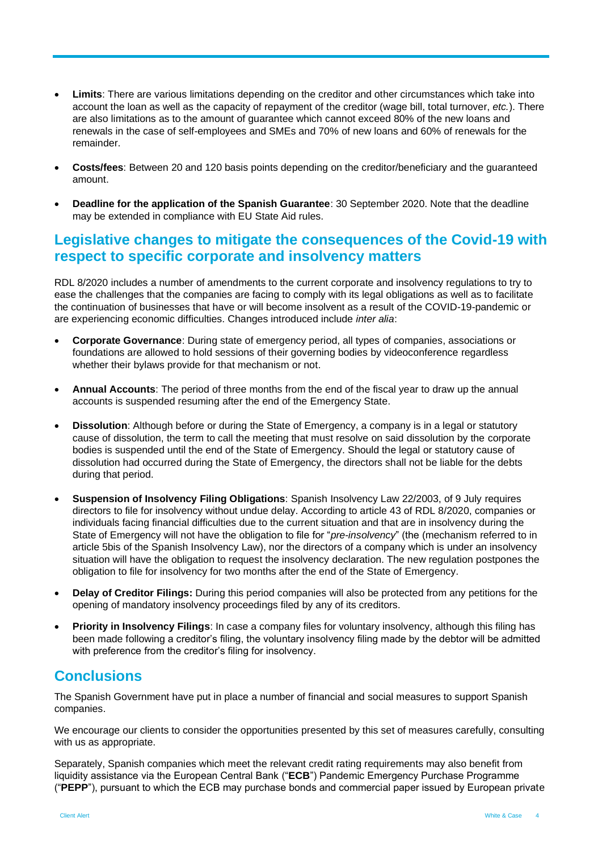- **Limits**: There are various limitations depending on the creditor and other circumstances which take into account the loan as well as the capacity of repayment of the creditor (wage bill, total turnover, *etc.*). There are also limitations as to the amount of guarantee which cannot exceed 80% of the new loans and renewals in the case of self-employees and SMEs and 70% of new loans and 60% of renewals for the remainder.
- **Costs/fees**: Between 20 and 120 basis points depending on the creditor/beneficiary and the guaranteed amount.
- **Deadline for the application of the Spanish Guarantee**: 30 September 2020. Note that the deadline may be extended in compliance with EU State Aid rules.

## **Legislative changes to mitigate the consequences of the Covid-19 with respect to specific corporate and insolvency matters**

RDL 8/2020 includes a number of amendments to the current corporate and insolvency regulations to try to ease the challenges that the companies are facing to comply with its legal obligations as well as to facilitate the continuation of businesses that have or will become insolvent as a result of the COVID-19-pandemic or are experiencing economic difficulties. Changes introduced include *inter alia*:

- **Corporate Governance**: During state of emergency period, all types of companies, associations or foundations are allowed to hold sessions of their governing bodies by videoconference regardless whether their bylaws provide for that mechanism or not.
- **Annual Accounts**: The period of three months from the end of the fiscal year to draw up the annual accounts is suspended resuming after the end of the Emergency State.
- **Dissolution**: Although before or during the State of Emergency, a company is in a legal or statutory cause of dissolution, the term to call the meeting that must resolve on said dissolution by the corporate bodies is suspended until the end of the State of Emergency. Should the legal or statutory cause of dissolution had occurred during the State of Emergency, the directors shall not be liable for the debts during that period.
- **Suspension of Insolvency Filing Obligations**: Spanish Insolvency Law 22/2003, of 9 July requires directors to file for insolvency without undue delay. According to article 43 of RDL 8/2020, companies or individuals facing financial difficulties due to the current situation and that are in insolvency during the State of Emergency will not have the obligation to file for "*pre-insolvency*" (the (mechanism referred to in article 5bis of the Spanish Insolvency Law), nor the directors of a company which is under an insolvency situation will have the obligation to request the insolvency declaration. The new regulation postpones the obligation to file for insolvency for two months after the end of the State of Emergency.
- **Delay of Creditor Filings:** During this period companies will also be protected from any petitions for the opening of mandatory insolvency proceedings filed by any of its creditors.
- **Priority in Insolvency Filings**: In case a company files for voluntary insolvency, although this filing has been made following a creditor's filing, the voluntary insolvency filing made by the debtor will be admitted with preference from the creditor's filing for insolvency.

### **Conclusions**

The Spanish Government have put in place a number of financial and social measures to support Spanish companies.

We encourage our clients to consider the opportunities presented by this set of measures carefully, consulting with us as appropriate.

Separately, Spanish companies which meet the relevant credit rating requirements may also benefit from liquidity assistance via the European Central Bank ("**ECB**") Pandemic Emergency Purchase Programme ("**PEPP**"), pursuant to which the ECB may purchase bonds and commercial paper issued by European private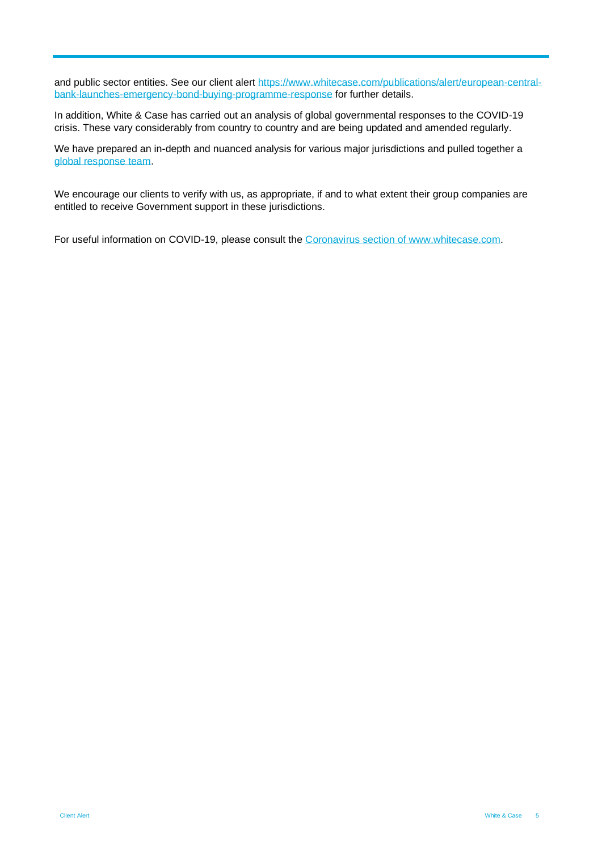and public sector entities. See our client alert [https://www.whitecase.com/publications/alert/european-central](https://www.whitecase.com/publications/alert/european-central-bank-launches-emergency-bond-buying-programme-response)[bank-launches-emergency-bond-buying-programme-response](https://www.whitecase.com/publications/alert/european-central-bank-launches-emergency-bond-buying-programme-response) for further details.

In addition, White & Case has carried out an analysis of global governmental responses to the COVID-19 crisis. These vary considerably from country to country and are being updated and amended regularly.

We have prepared an in-depth and nuanced analysis for various major jurisdictions and pulled together a [global response team.](https://www.whitecase.com/coronavirus-hub#global-contacts)

We encourage our clients to verify with us, as appropriate, if and to what extent their group companies are entitled to receive Government support in these jurisdictions.

For useful information on COVID-19, please consult the [Coronavirus section of www.whitecase.com.](https://www.whitecase.com/coronavirus-hub)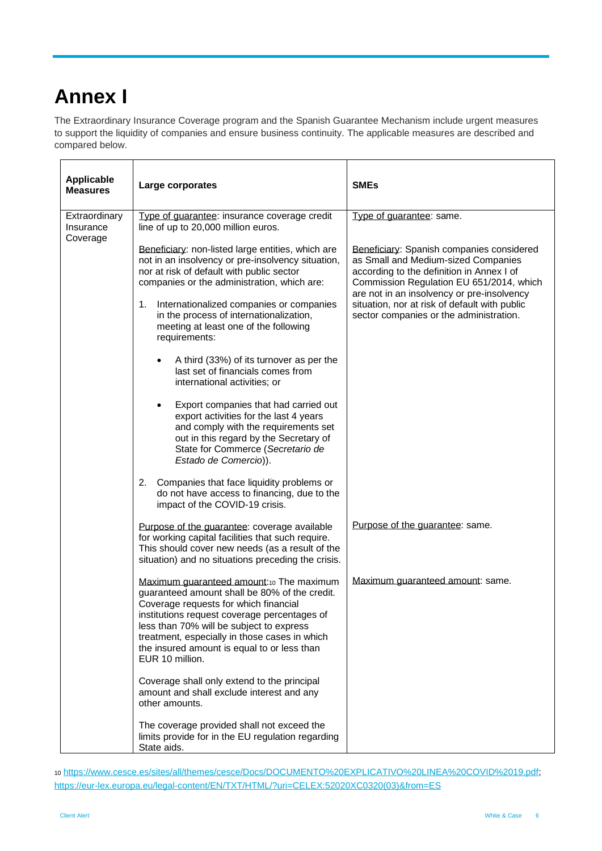## **Annex I**

The Extraordinary Insurance Coverage program and the Spanish Guarantee Mechanism include urgent measures to support the liquidity of companies and ensure business continuity. The applicable measures are described and compared below.

| <b>Applicable</b><br><b>Measures</b> | Large corporates                                                                                                                                                                                                                                                                                                                                  | <b>SMEs</b>                                                                                                                                                                                                             |
|--------------------------------------|---------------------------------------------------------------------------------------------------------------------------------------------------------------------------------------------------------------------------------------------------------------------------------------------------------------------------------------------------|-------------------------------------------------------------------------------------------------------------------------------------------------------------------------------------------------------------------------|
| Extraordinary<br>Insurance           | Type of guarantee: insurance coverage credit<br>line of up to 20,000 million euros.                                                                                                                                                                                                                                                               | Type of guarantee: same.                                                                                                                                                                                                |
| Coverage                             | Beneficiary: non-listed large entities, which are<br>not in an insolvency or pre-insolvency situation,<br>nor at risk of default with public sector<br>companies or the administration, which are:                                                                                                                                                | Beneficiary: Spanish companies considered<br>as Small and Medium-sized Companies<br>according to the definition in Annex I of<br>Commission Regulation EU 651/2014, which<br>are not in an insolvency or pre-insolvency |
|                                      | Internationalized companies or companies<br>1.<br>in the process of internationalization,<br>meeting at least one of the following<br>requirements:                                                                                                                                                                                               | situation, nor at risk of default with public<br>sector companies or the administration.                                                                                                                                |
|                                      | A third (33%) of its turnover as per the<br>$\bullet$<br>last set of financials comes from<br>international activities; or                                                                                                                                                                                                                        |                                                                                                                                                                                                                         |
|                                      | Export companies that had carried out<br>$\bullet$<br>export activities for the last 4 years<br>and comply with the requirements set<br>out in this regard by the Secretary of<br>State for Commerce (Secretario de<br>Estado de Comercio)).                                                                                                      |                                                                                                                                                                                                                         |
|                                      | Companies that face liquidity problems or<br>2.<br>do not have access to financing, due to the<br>impact of the COVID-19 crisis.                                                                                                                                                                                                                  |                                                                                                                                                                                                                         |
|                                      | Purpose of the guarantee: coverage available<br>for working capital facilities that such require.<br>This should cover new needs (as a result of the<br>situation) and no situations preceding the crisis.                                                                                                                                        | Purpose of the guarantee: same.                                                                                                                                                                                         |
|                                      | Maximum guaranteed amount:10 The maximum<br>guaranteed amount shall be 80% of the credit.<br>Coverage requests for which financial<br>institutions request coverage percentages of<br>less than 70% will be subject to express<br>treatment, especially in those cases in which<br>the insured amount is equal to or less than<br>EUR 10 million. | Maximum guaranteed amount: same.                                                                                                                                                                                        |
|                                      | Coverage shall only extend to the principal<br>amount and shall exclude interest and any<br>other amounts.                                                                                                                                                                                                                                        |                                                                                                                                                                                                                         |
|                                      | The coverage provided shall not exceed the<br>limits provide for in the EU regulation regarding<br>State aids.                                                                                                                                                                                                                                    |                                                                                                                                                                                                                         |

<sup>10</sup> [https://www.cesce.es/sites/all/themes/cesce/Docs/DOCUMENTO%20EXPLICATIVO%20LINEA%20COVID%2019.pdf;](https://www.cesce.es/sites/all/themes/cesce/Docs/DOCUMENTO%20EXPLICATIVO%20LINEA%20COVID%2019.pdf) [https://eur-lex.europa.eu/legal-content/EN/TXT/HTML/?uri=CELEX:52020XC0320\(03\)&from=ES](https://eur-lex.europa.eu/legal-content/EN/TXT/HTML/?uri=CELEX:52020XC0320(03)&from=ES)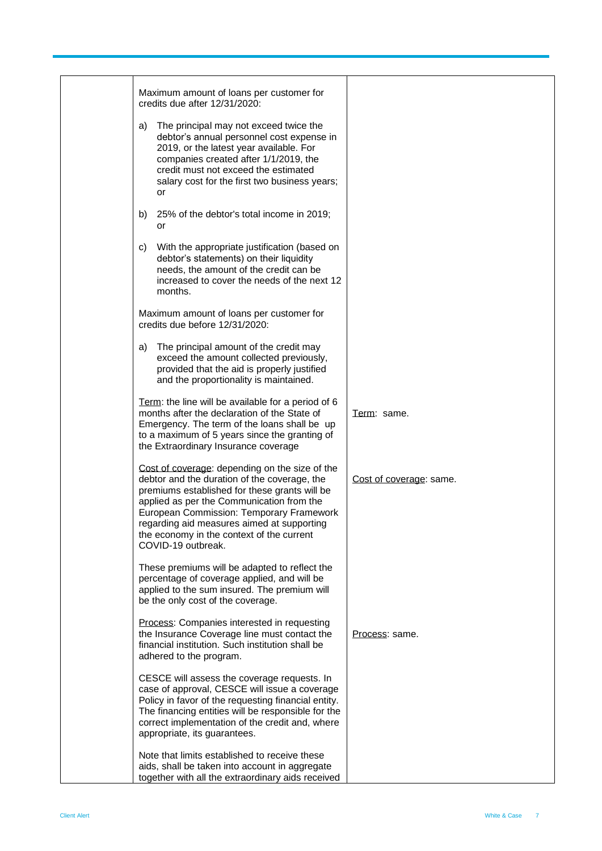| Maximum amount of loans per customer for<br>credits due after 12/31/2020:                                                                                                                                                                                                                                                                                 |                         |
|-----------------------------------------------------------------------------------------------------------------------------------------------------------------------------------------------------------------------------------------------------------------------------------------------------------------------------------------------------------|-------------------------|
| The principal may not exceed twice the<br>a)<br>debtor's annual personnel cost expense in<br>2019, or the latest year available. For<br>companies created after 1/1/2019, the<br>credit must not exceed the estimated<br>salary cost for the first two business years;<br>or                                                                              |                         |
| 25% of the debtor's total income in 2019;<br>b)<br>or                                                                                                                                                                                                                                                                                                     |                         |
| With the appropriate justification (based on<br>C)<br>debtor's statements) on their liquidity<br>needs, the amount of the credit can be<br>increased to cover the needs of the next 12<br>months.                                                                                                                                                         |                         |
| Maximum amount of loans per customer for<br>credits due before 12/31/2020:                                                                                                                                                                                                                                                                                |                         |
| The principal amount of the credit may<br>a)<br>exceed the amount collected previously,<br>provided that the aid is properly justified<br>and the proportionality is maintained.                                                                                                                                                                          |                         |
| Term: the line will be available for a period of 6<br>months after the declaration of the State of<br>Emergency. The term of the loans shall be up<br>to a maximum of 5 years since the granting of<br>the Extraordinary Insurance coverage                                                                                                               | Term: same.             |
| Cost of coverage: depending on the size of the<br>debtor and the duration of the coverage, the<br>premiums established for these grants will be<br>applied as per the Communication from the<br>European Commission: Temporary Framework<br>regarding aid measures aimed at supporting<br>the economy in the context of the current<br>COVID-19 outbreak. | Cost of coverage: same. |
| These premiums will be adapted to reflect the<br>percentage of coverage applied, and will be<br>applied to the sum insured. The premium will<br>be the only cost of the coverage.                                                                                                                                                                         |                         |
| Process: Companies interested in requesting<br>the Insurance Coverage line must contact the<br>financial institution. Such institution shall be<br>adhered to the program.                                                                                                                                                                                | Process: same.          |
| CESCE will assess the coverage requests. In<br>case of approval, CESCE will issue a coverage<br>Policy in favor of the requesting financial entity.<br>The financing entities will be responsible for the<br>correct implementation of the credit and, where<br>appropriate, its guarantees.                                                              |                         |
| Note that limits established to receive these<br>aids, shall be taken into account in aggregate<br>together with all the extraordinary aids received                                                                                                                                                                                                      |                         |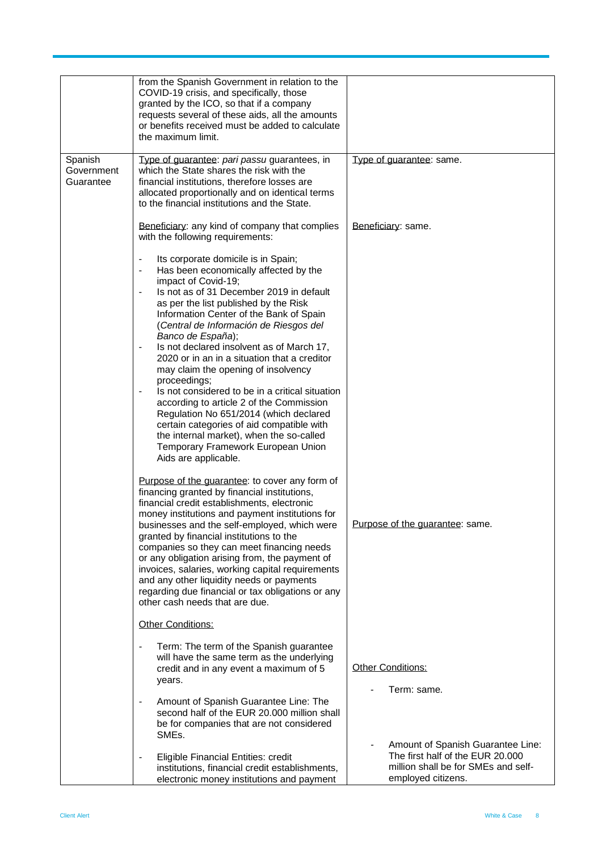|                                    | from the Spanish Government in relation to the<br>COVID-19 crisis, and specifically, those<br>granted by the ICO, so that if a company<br>requests several of these aids, all the amounts<br>or benefits received must be added to calculate<br>the maximum limit.                                                                                                                                                                                                                                                                                                                                                                                                                                                                                                                                                                                                                 |                                                                                               |
|------------------------------------|------------------------------------------------------------------------------------------------------------------------------------------------------------------------------------------------------------------------------------------------------------------------------------------------------------------------------------------------------------------------------------------------------------------------------------------------------------------------------------------------------------------------------------------------------------------------------------------------------------------------------------------------------------------------------------------------------------------------------------------------------------------------------------------------------------------------------------------------------------------------------------|-----------------------------------------------------------------------------------------------|
| Spanish<br>Government<br>Guarantee | Type of guarantee: pari passu guarantees, in<br>which the State shares the risk with the<br>financial institutions, therefore losses are<br>allocated proportionally and on identical terms<br>to the financial institutions and the State.                                                                                                                                                                                                                                                                                                                                                                                                                                                                                                                                                                                                                                        | Type of guarantee: same.                                                                      |
|                                    | Beneficiary: any kind of company that complies<br>with the following requirements:                                                                                                                                                                                                                                                                                                                                                                                                                                                                                                                                                                                                                                                                                                                                                                                                 | Beneficiary: same.                                                                            |
|                                    | Its corporate domicile is in Spain;<br>$\qquad \qquad \blacksquare$<br>Has been economically affected by the<br>$\qquad \qquad \blacksquare$<br>impact of Covid-19;<br>Is not as of 31 December 2019 in default<br>as per the list published by the Risk<br>Information Center of the Bank of Spain<br>(Central de Información de Riesgos del<br>Banco de España);<br>Is not declared insolvent as of March 17,<br>$\overline{\phantom{0}}$<br>2020 or in an in a situation that a creditor<br>may claim the opening of insolvency<br>proceedings;<br>Is not considered to be in a critical situation<br>$\qquad \qquad \blacksquare$<br>according to article 2 of the Commission<br>Regulation No 651/2014 (which declared<br>certain categories of aid compatible with<br>the internal market), when the so-called<br>Temporary Framework European Union<br>Aids are applicable. |                                                                                               |
|                                    | Purpose of the guarantee: to cover any form of<br>financing granted by financial institutions,<br>financial credit establishments, electronic<br>money institutions and payment institutions for<br>businesses and the self-employed, which were<br>granted by financial institutions to the<br>companies so they can meet financing needs<br>or any obligation arising from, the payment of<br>invoices, salaries, working capital requirements<br>and any other liquidity needs or payments<br>regarding due financial or tax obligations or any<br>other cash needs that are due.                                                                                                                                                                                                                                                                                               | Purpose of the guarantee: same.                                                               |
|                                    | Other Conditions:                                                                                                                                                                                                                                                                                                                                                                                                                                                                                                                                                                                                                                                                                                                                                                                                                                                                  |                                                                                               |
|                                    | Term: The term of the Spanish guarantee<br>$\overline{\phantom{a}}$<br>will have the same term as the underlying<br>credit and in any event a maximum of 5<br>years.                                                                                                                                                                                                                                                                                                                                                                                                                                                                                                                                                                                                                                                                                                               | Other Conditions:<br>Term: same.                                                              |
|                                    | Amount of Spanish Guarantee Line: The<br>$\overline{\phantom{a}}$<br>second half of the EUR 20.000 million shall<br>be for companies that are not considered<br>SMEs.                                                                                                                                                                                                                                                                                                                                                                                                                                                                                                                                                                                                                                                                                                              | Amount of Spanish Guarantee Line:                                                             |
|                                    | Eligible Financial Entities: credit<br>$\overline{\phantom{a}}$<br>institutions, financial credit establishments,<br>electronic money institutions and payment                                                                                                                                                                                                                                                                                                                                                                                                                                                                                                                                                                                                                                                                                                                     | The first half of the EUR 20.000<br>million shall be for SMEs and self-<br>employed citizens. |